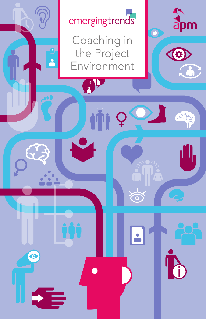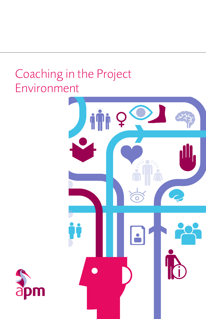# Coaching in the Project Environment



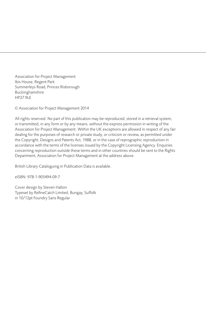Association for Project Management Ibis House, Regent Park Summerleys Road, Princes Risborough Buckinghamshire HP27 9LE

© Association for Project Management 2014

All rights reserved. No part of this publication may be reproduced, stored in a retrieval system, or transmitted, in any form or by any means, without the express permission in writing of the Association for Project Management. Within the UK exceptions are allowed in respect of any fair dealing for the purposes of research or private study, or criticism or review, as permitted under the Copyright, Designs and Patents Act, 1988, or in the case of reprographic reproduction in accordance with the terms of the licenses issued by the Copyright Licensing Agency. Enquiries concerning reproduction outside these terms and in other countries should be sent to the Rights Department, Association for Project Management at the address above.

British Library Cataloguing in Publication Data is available.

eISBN: 978-1-903494-09-7

Cover design by Steven Halton Typeset by RefineCatch Limited, Bungay, Suffolk in 10/12pt Foundry Sans Regular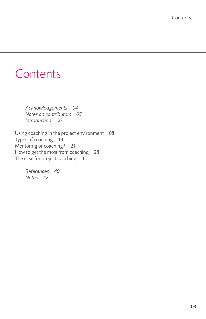# **Contents**

 *Acknowledgements [04](#page-4-0) Notes on contributors [05](#page-5-0) Introduction [06](#page-6-0)*

Using coaching in the project environment [08](#page-8-0) Types of coaching [14](#page-14-0) Mentoring or coaching? [21](#page-21-0) How to get the most from coaching [28](#page-28-0) The case for project coaching [33](#page-33-0)

> *References [40](#page-40-0) Notes [42](#page-42-0)*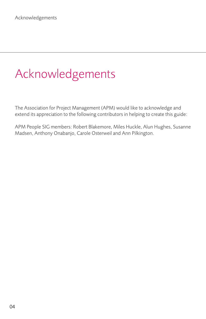# <span id="page-4-0"></span>Acknowledgements

The Association for Project Management (APM) would like to acknowledge and extend its appreciation to the following contributors in helping to create this guide:

APM People SIG members: Robert Blakemore, Miles Huckle, Alun Hughes, Susanne Madsen, Anthony Onabanjo, Carole Osterweil and Ann Pilkington.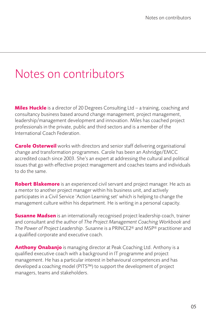# <span id="page-5-0"></span>Notes on contributors

**Miles Huckle** is a director of 20 Degrees Consulting Ltd – a training, coaching and consultancy business based around change management, project management, leadership/management development and innovation. Miles has coached project professionals in the private, public and third sectors and is a member of the International Coach Federation.

**Carole Osterweil** works with directors and senior staff delivering organisational change and transformation programmes. Carole has been an Ashridge/EMCC accredited coach since 2003. She's an expert at addressing the cultural and political issues that go with effective project management and coaches teams and individuals to do the same.

**Robert Blakemore** is an experienced civil servant and project manager. He acts as a mentor to another project manager within his business unit, and actively participates in a Civil Service 'Action Learning set' which is helping to change the management culture within his department. He is writing in a personal capacity.

**Susanne Madsen** is an internationally recognised project leadership coach, trainer and consultant and the author of *The Project Management Coaching Workbook* and *The Power of Project Leadership*. Susanne is a PRINCE2® and MSP® practitioner and a qualified corporate and executive coach.

**Anthony Onabanjo** is managing director at Peak Coaching Ltd. Anthony is a qualified executive coach with a background in IT programme and project management. He has a particular interest in behavioural competences and has developed a coaching model (PITS™) to support the development of project managers, teams and stakeholders.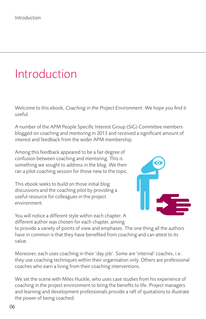# <span id="page-6-0"></span>Introduction

Welcome to this ebook, *Coaching in the Project Environment*. We hope you find it useful.

A number of the APM People Specific Interest Group (SIG) Committee members blogged on coaching and mentoring in 2013 and received a significant amount of interest and feedback from the wider APM membership.

Among this feedback appeared to be a fair degree of confusion between coaching and mentoring. This is something we sought to address in the blog. We then ran a pilot coaching session for those new to the topic.

This ebook seeks to build on those initial blog discussions and the coaching pilot by providing a useful resource for colleagues in the project environment.



You will notice a different style within each chapter. A different author was chosen for each chapter, aiming

to provide a variety of points of view and emphases. The one thing all the authors have in common is that they have benefited from coaching and can attest to its value.

Moreover, each uses coaching in their 'day job'. Some are 'internal' coaches, i.e. they use coaching techniques within their organisation only. Others are professional coaches who earn a living from their coaching interventions.

We set the scene with Miles Huckle, who uses case studies from his experience of coaching in the project environment to bring the benefits to life. Project managers and learning and development professionals provide a raft of quotations to illustrate the power of being coached.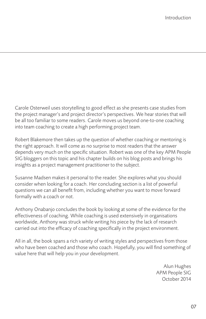Carole Osterweil uses storytelling to good effect as she presents case studies from the project manager's and project director's perspectives. We hear stories that will be all too familiar to some readers. Carole moves us beyond one-to-one coaching into team coaching to create a high performing project team.

Robert Blakemore then takes up the question of whether coaching or mentoring is the right approach. It will come as no surprise to most readers that the answer depends very much on the specific situation. Robert was one of the key APM People SIG bloggers on this topic and his chapter builds on his blog posts and brings his insights as a project management practitioner to the subject.

Susanne Madsen makes it personal to the reader. She explores what you should consider when looking for a coach. Her concluding section is a list of powerful questions we can all benefit from, including whether you want to move forward formally with a coach or not.

Anthony Onabanjo concludes the book by looking at some of the evidence for the effectiveness of coaching. While coaching is used extensively in organisations worldwide, Anthony was struck while writing his piece by the lack of research carried out into the efficacy of coaching specifically in the project environment.

All in all, the book spans a rich variety of writing styles and perspectives from those who have been coached and those who coach. Hopefully, you will find something of value here that will help you in your development.

> Alun Hughes APM People SIG October 2014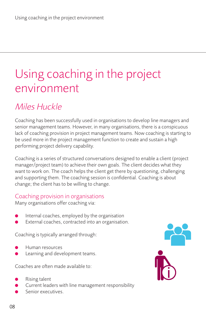# <span id="page-8-0"></span>Using coaching in the project environment

# Miles Huckle

Coaching has been successfully used in organisations to develop line managers and senior management teams. However, in many organisations, there is a conspicuous lack of coaching provision in project management teams. Now coaching is starting to be used more in the project management function to create and sustain a high performing project delivery capability.

Coaching is a series of structured conversations designed to enable a client (project manager/project team) to achieve their own goals. The client decides what they want to work on. The coach helps the client get there by questioning, challenging and supporting them. The coaching session is confidential. Coaching is about change; the client has to be willing to change.

## Coaching provision in organisations

Many organisations offer coaching via:

- Internal coaches, employed by the organisation
- External coaches, contracted into an organisation.

Coaching is typically arranged through:

- l Human resources
- Learning and development teams.

Coaches are often made available to:

- Rising talent
- Current leaders with line management responsibility
- Senior executives.

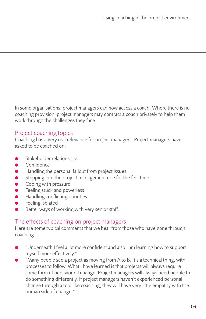In some organisations, project managers can now access a coach. Where there is no coaching provision, project managers may contract a coach privately to help them work through the challenges they face.

## Project coaching topics

Coaching has a very real relevance for project managers. Project managers have asked to be coached on:

- Stakeholder relationships
- **Confidence**
- $\bullet$  Handling the personal fallout from project issues
- $\bullet$  Stepping into the project management role for the first time
- $\bullet$  Coping with pressure
- $\bullet$  Feeling stuck and powerless
- l Handling conflicting priorities
- Feeling isolated
- Better ways of working with very senior staff.

## The effects of coaching on project managers

Here are some typical comments that we hear from those who have gone through coaching:

- "Underneath I feel a lot more confident and also I am learning how to support myself more effectively."
- "Many people see a project as moving from A to B. It's a technical thing, with processes to follow. What I have learned is that projects will always require some form of behavioural change. Project managers will always need people to do something differently. If project managers haven't experienced personal change through a tool like coaching, they will have very little empathy with the human side of change."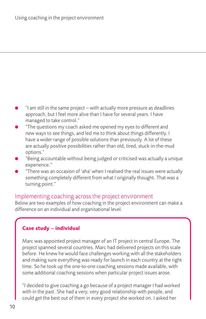- l "I am still in the same project with actually more pressure as deadlines approach, but I feel more alive than I have for several years. I have managed to take control."
- "The questions my coach asked me opened my eyes to different and new ways to see things, and led me to think about things differently. I have a wider range of possible solutions than previously. A lot of these are actually positive possibilities rather than old, tired, stuck-in-the-mud options."
- "Being accountable without being judged or criticised was actually a unique experience."
- "There was an occasion of 'aha' when I realised the real issues were actually something completely different from what I originally thought. That was a turning point."

#### Implementing coaching across the project environment

Below are two examples of how coaching in the project environment can make a difference on an individual and organisational level.

### **Case study – individual**

Marc was appointed project manager of an IT project in central Europe. The project spanned several countries. Marc had delivered projects on this scale before. He knew he would face challenges working with all the stakeholders and making sure everything was ready for launch in each country at the right time. So he took up the one-to-one coaching sessions made available, with some additional coaching sessions when particular project issues arose.

"I decided to give coaching a go because of a project manager I had worked with in the past. She had a very, very good relationship with people, and could get the best out of them in every project she worked on. I asked her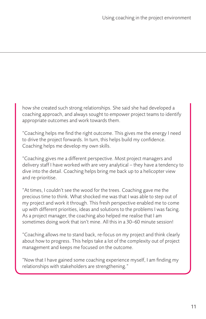how she created such strong relationships. She said she had developed a coaching approach, and always sought to empower project teams to identify appropriate outcomes and work towards them.

"Coaching helps me find the right outcome. This gives me the energy I need to drive the project forwards. In turn, this helps build my confidence. Coaching helps me develop my own skills.

"Coaching gives me a different perspective. Most project managers and delivery staff I have worked with are very analytical – they have a tendency to dive into the detail. Coaching helps bring me back up to a helicopter view and re-prioritise.

"At times, I couldn't see the wood for the trees. Coaching gave me the precious time to think. What shocked me was that I was able to step out of my project and work it through. This fresh perspective enabled me to come up with different priorities, ideas and solutions to the problems I was facing. As a project manager, the coaching also helped me realise that I am sometimes doing work that isn't mine. All this in a 30–60 minute session!

"Coaching allows me to stand back, re-focus on my project and think clearly about how to progress. This helps take a lot of the complexity out of project management and keeps me focused on the outcome.

"Now that I have gained some coaching experience myself, I am finding my relationships with stakeholders are strengthening."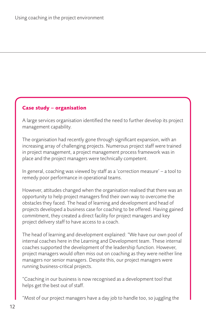#### **Case study – organisation**

A large services organisation identified the need to further develop its project management capability.

The organisation had recently gone through significant expansion, with an increasing array of challenging projects. Numerous project staff were trained in project management, a project management process framework was in place and the project managers were technically competent.

In general, coaching was viewed by staff as a 'correction measure' – a tool to remedy poor performance in operational teams.

However, attitudes changed when the organisation realised that there was an opportunity to help project managers find their own way to overcome the obstacles they faced. The head of learning and development and head of projects developed a business case for coaching to be offered. Having gained commitment, they created a direct facility for project managers and key project delivery staff to have access to a coach.

The head of learning and development explained: "We have our own pool of internal coaches here in the Learning and Development team. These internal coaches supported the development of the leadership function. However, project managers would often miss out on coaching as they were neither line managers nor senior managers. Despite this, our project managers were running business-critical projects.

"Coaching in our business is now recognised as a development tool that helps get the best out of staff.

"Most of our project managers have a day job to handle too, so juggling the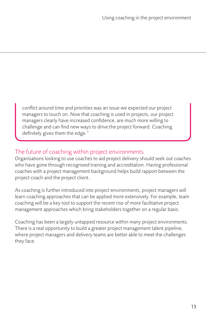conflict around time and priorities was an issue we expected our project managers to touch on. Now that coaching is used in projects, our project managers clearly have increased confidence, are much more willing to challenge and can find new ways to drive the project forward. Coaching definitely gives them the edge."

### The future of coaching within project environments

Organisations looking to use coaches to aid project delivery should seek out coaches who have gone through recognised training and accreditation. Having professional coaches with a project management background helps build rapport between the project coach and the project client.

As coaching is further introduced into project environments, project managers will learn coaching approaches that can be applied more extensively. For example, team coaching will be a key tool to support the recent rise of more facilitative project management approaches which bring stakeholders together on a regular basis.

Coaching has been a largely untapped resource within many project environments. There is a real opportunity to build a greater project management talent pipeline, where project managers and delivery teams are better able to meet the challenges they face.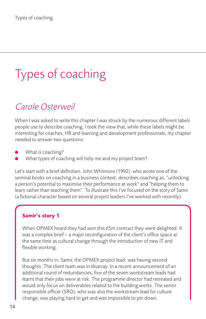# <span id="page-14-0"></span>Types of coaching

# Carole Osterweil

When I was asked to write this chapter I was struck by the numerous different labels people use to describe coaching. I took the view that, while these labels might be interesting for coaches, HR and learning and development professionals, my chapter needed to answer two questions:

- What is coaching?
- What types of coaching will help me and my project team?

Let's start with a brief definition. John Whitmore (1992), who wrote one of the seminal books on coaching in a business context, describes coaching as, "unlocking a person's potential to maximise their performance at work" and "helping them to learn rather than teaching them". To illustrate this I've focused on the story of Samir (a fictional character based on several project leaders I've worked with recently).

#### **Samir's story 1**

When OPMEX heard they had won this £5m contract they were delighted. It was a complex brief – a major reconfiguration of the client's office space at the same time as cultural change through the introduction of new IT and flexible working.

But six months in, Samir, the OPMEX project lead, was having second thoughts. The client team was in disarray. In a recent announcement of an additional round of redundancies, five of the seven workstream leads had learnt that their jobs were at risk. The programme director had retreated and would only focus on deliverables related to the building works. The senior responsible officer (SRO), who was also the workstream lead for culture change, was playing hard to get and was impossible to pin down.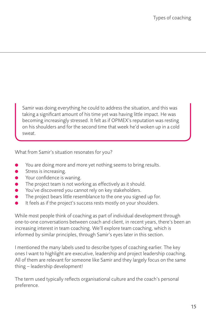Samir was doing everything he could to address the situation, and this was taking a significant amount of his time yet was having little impact. He was becoming increasingly stressed. It felt as if OPMEX's reputation was resting on his shoulders and for the second time that week he'd woken up in a cold sweat.

What from Samir's situation resonates for you?

- You are doing more and more yet nothing seems to bring results.
- $\bullet$  Stress is increasing.
- **•** Your confidence is waning.
- $\bullet$  The project team is not working as effectively as it should.
- You've discovered you cannot rely on key stakeholders.
- The project bears little resemblance to the one you signed up for.
- It feels as if the project's success rests mostly on your shoulders.

While most people think of coaching as part of individual development through one-to-one conversations between coach and client, in recent years, there's been an increasing interest in team coaching. We'll explore team coaching, which is informed by similar principles, through Samir's eyes later in this section.

I mentioned the many labels used to describe types of coaching earlier. The key ones I want to highlight are executive, leadership and project leadership coaching. All of them are relevant for someone like Samir and they largely focus on the same thing – leadership development!

The term used typically reflects organisational culture and the coach's personal preference.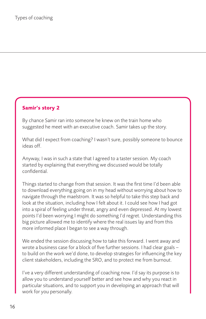#### **Samir's story 2**

By chance Samir ran into someone he knew on the train home who suggested he meet with an executive coach. Samir takes up the story.

What did I expect from coaching? I wasn't sure, possibly someone to bounce ideas off.

Anyway, I was in such a state that I agreed to a taster session. My coach started by explaining that everything we discussed would be totally confidential.

Things started to change from that session. It was the first time I'd been able to download everything going on in my head without worrying about how to navigate through the maelstrom. It was so helpful to take this step back and look at the situation, including how I felt about it. I could see how I had got into a spiral of feeling under threat, angry and even depressed. At my lowest points I'd been worrying I might do something I'd regret. Understanding this big picture allowed me to identify where the real issues lay and from this more informed place I began to see a way through.

We ended the session discussing how to take this forward. I went away and wrote a business case for a block of five further sessions. I had clear goals – to build on the work we'd done, to develop strategies for influencing the key client stakeholders, including the SRO, and to protect me from burnout.

I've a very different understanding of coaching now. I'd say its purpose is to allow you to understand yourself better and see how and why you react in particular situations, and to support you in developing an approach that will work for you personally.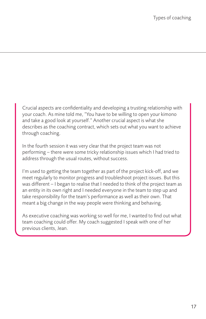Crucial aspects are confidentiality and developing a trusting relationship with your coach. As mine told me, "You have to be willing to open your kimono and take a good look at yourself." Another crucial aspect is what she describes as the coaching contract, which sets out what you want to achieve through coaching.

In the fourth session it was very clear that the project team was not performing – there were some tricky relationship issues which I had tried to address through the usual routes, without success.

I'm used to getting the team together as part of the project kick-off, and we meet regularly to monitor progress and troubleshoot project issues. But this was different – I began to realise that I needed to think of the project team as an entity in its own right and I needed everyone in the team to step up and take responsibility for the team's performance as well as their own. That meant a big change in the way people were thinking and behaving.

As executive coaching was working so well for me, I wanted to find out what team coaching could offer. My coach suggested I speak with one of her previous clients, Jean.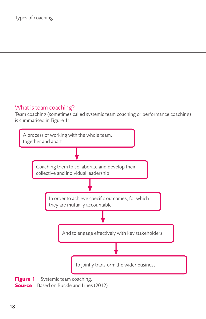## What is team coaching?

Team coaching (sometimes called systemic team coaching or performance coaching) is summarised in Figure 1:



**Source** Based on Buckle and Lines (2012)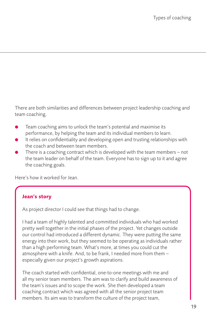There are both similarities and differences between project leadership coaching and team coaching.

- Team coaching aims to unlock the team's potential and maximise its performance, by helping the team and its individual members to learn.
- It relies on confidentiality and developing open and trusting relationships with the coach and between team members.
- There is a coaching contract which is developed with the team members not the team leader on behalf of the team. Everyone has to sign up to it and agree the coaching goals.

Here's how it worked for Jean.

### **Jean's story**

As project director I could see that things had to change.

I had a team of highly talented and committed individuals who had worked pretty well together in the initial phases of the project. Yet changes outside our control had introduced a different dynamic. They were putting the same energy into their work, but they seemed to be operating as individuals rather than a high performing team. What's more, at times you could cut the atmosphere with a knife. And, to be frank, I needed more from them – especially given our project's growth aspirations.

The coach started with confidential, one-to-one meetings with me and all my senior team members. The aim was to clarify and build awareness of the team's issues and to scope the work. She then developed a team coaching contract which was agreed with all the senior project team members. Its aim was to transform the culture of the project team,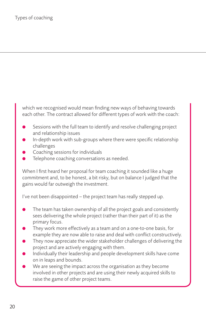which we recognised would mean finding new ways of behaving towards each other. The contract allowed for different types of work with the coach:

- Sessions with the full team to identify and resolve challenging project and relationship issues
- In-depth work with sub-groups where there were specific relationship challenges
- Coaching sessions for individuals
- Telephone coaching conversations as needed.

When I first heard her proposal for team coaching it sounded like a huge commitment and, to be honest, a bit risky, but on balance I judged that the gains would far outweigh the investment.

I've not been disappointed – the project team has really stepped up.

- The team has taken ownership of all the project goals and consistently sees delivering the whole project (rather than their part of it) as the primary focus.
- They work more effectively as a team and on a one-to-one basis, for example they are now able to raise and deal with conflict constructively.
- They now appreciate the wider stakeholder challenges of delivering the project and are actively engaging with them.
- l Individually their leadership and people development skills have come on in leaps and bounds.
- We are seeing the impact across the organisation as they become involved in other projects and are using their newly acquired skills to raise the game of other project teams.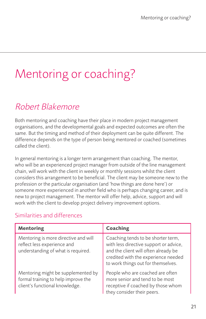# <span id="page-21-0"></span>Mentoring or coaching?

# Robert Blakemore

Both mentoring and coaching have their place in modern project management organisations, and the developmental goals and expected outcomes are often the same. But the timing and method of their deployment can be quite different. The difference depends on the type of person being mentored or coached (sometimes called the client).

In general mentoring is a longer term arrangement than coaching. The mentor, who will be an experienced project manager from outside of the line management chain, will work with the client in weekly or monthly sessions whilst the client considers this arrangement to be beneficial. The client may be someone new to the profession or the particular organisation (and 'how things are done here') or someone more experienced in another field who is perhaps changing career, and is new to project management. The mentor will offer help, advice, support and will work with the client to develop project delivery improvement options.

## Similarities and differences

| <b>Mentoring</b>                                                                                            | <b>Coaching</b>                                                                                                                                                                                   |
|-------------------------------------------------------------------------------------------------------------|---------------------------------------------------------------------------------------------------------------------------------------------------------------------------------------------------|
| Mentoring is more directive and will<br>reflect less experience and<br>understanding of what is required.   | Coaching tends to be shorter term,<br>with less directive support or advice,<br>and the client will often already be<br>credited with the experience needed<br>to work things out for themselves. |
| Mentoring might be supplemented by<br>formal training to help improve the<br>client's functional knowledge. | People who are coached are often<br>more senior and tend to be most<br>receptive if coached by those whom<br>they consider their peers.                                                           |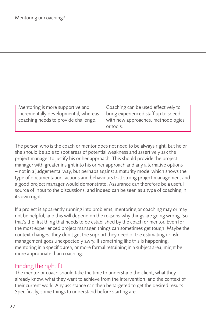| Mentoring is more supportive and<br>incrementally developmental, whereas   bring experienced staff up to speed<br>coaching needs to provide challenge. | Coaching can be used effectively to<br>with new approaches, methodologies |
|--------------------------------------------------------------------------------------------------------------------------------------------------------|---------------------------------------------------------------------------|
|                                                                                                                                                        | or tools.                                                                 |

The person who is the coach or mentor does not need to be always right, but he or she should be able to spot areas of potential weakness and assertively ask the project manager to justify his or her approach. This should provide the project manager with greater insight into his or her approach and any alternative options – not in a judgemental way, but perhaps against a maturity model which shows the type of documentation, actions and behaviours that strong project management and a good project manager would demonstrate. Assurance can therefore be a useful source of input to the discussions, and indeed can be seen as a type of coaching in its own right.

If a project is apparently running into problems, mentoring or coaching may or may not be helpful, and this will depend on the reasons why things are going wrong. So that's the first thing that needs to be established by the coach or mentor. Even for the most experienced project manager, things can sometimes get tough. Maybe the context changes, they don't get the support they need or the estimating or risk management goes unexpectedly awry. If something like this is happening, mentoring in a specific area, or more formal retraining in a subject area, might be more appropriate than coaching.

## Finding the right fit

The mentor or coach should take the time to understand the client, what they already know, what they want to achieve from the intervention, and the context of their current work. Any assistance can then be targeted to get the desired results. Specifically, some things to understand before starting are: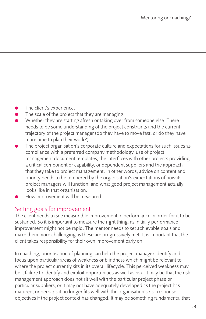- The client's experience.
- The scale of the project that they are managing.
- Whether they are starting afresh or taking over from someone else. There needs to be some understanding of the project constraints and the current trajectory of the project manager (do they have to move fast, or do they have more time to plan their work?).
- The project organisation's corporate culture and expectations for such issues as compliance with a preferred company methodology, use of project management document templates, the interfaces with other projects providing a critical component or capability, or dependent suppliers and the approach that they take to project management. In other words, advice on content and priority needs to be tempered by the organisation's expectations of how its project managers will function, and what good project management actually looks like in that organisation.
- How improvement will be measured.

### Setting goals for improvement

The client needs to see measurable improvement in performance in order for it to be sustained. So it is important to measure the right thing, as initially performance improvement might not be rapid. The mentor needs to set achievable goals and make them more challenging as these are progressively met. It is important that the client takes responsibility for their own improvement early on.

In coaching, prioritisation of planning can help the project manager identify and focus upon particular areas of weakness or blindness which might be relevant to where the project currently sits in its overall lifecycle. This perceived weakness may be a failure to identify and exploit opportunities as well as risk. It may be that the risk management approach does not sit well with the particular project phase or particular suppliers, or it may not have adequately developed as the project has matured, or perhaps it no longer fits well with the organisation's risk response objectives if the project context has changed. It may be something fundamental that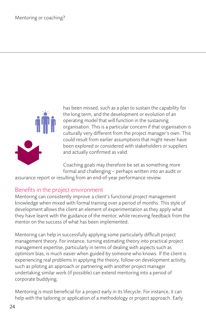

has been missed, such as a plan to sustain the capability for the long term, and the development or evolution of an operating model that will function in the sustaining organisation. This is a particular concern if that organisation is culturally very different from the project manager's own. This could result from earlier assumptions that might never have been explored or considered with stakeholders or suppliers and actually confirmed as valid.

Coaching goals may therefore be set as something more formal and challenging – perhaps written into an audit or

assurance report or resulting from an end-of-year performance review.

## Benefits in the project environment

Mentoring can consistently improve a client's functional project management knowledge when mixed with formal training over a period of months. This style of development allows the client an element of experimentation as they apply what they have learnt with the guidance of the mentor, while receiving feedback from the mentor on the success of what has been implemented.

Mentoring can help in successfully applying some particularly difficult project management theory. For instance, turning estimating theory into practical project management expertise, particularly in terms of dealing with aspects such as optimism bias, is much easier when guided by someone who knows. If the client is experiencing real problems in applying the theory, follow-on development activity, such as piloting an approach or partnering with another project manager undertaking similar work (if possible) can extend mentoring into a period of corporate buddying.

Mentoring is most beneficial for a project early in its lifecycle. For instance, it can help with the tailoring or application of a methodology or project approach. Early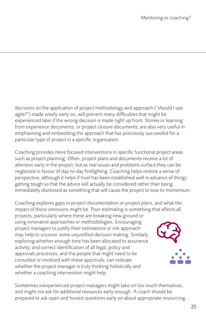decisions on the application of project methodology and approach ("should I use agile?") made wisely early on, will prevent many difficulties that might be experienced later if the wrong decision is made right up front. Stories or learning from experience documents, or project closure documents, are also very useful in emphasising and embedding the approach that has previously succeeded for a particular type of project in a specific organisation.

Coaching provides more focused interventions in specific functional project areas such as project planning. Often, project plans and documents receive a lot of attention early in the project, but as real issues and problems surface they can be neglected in favour of day-to-day firefighting. Coaching helps restore a sense of perspective, although it helps if trust has been established well in advance of things getting tough so that the advice will actually be considered rather than being immediately dismissed as something that will cause the project to lose its momentum.

Coaching explores gaps in project documentation or project plans, and what the impact of those omissions might be. Poor estimating is something that affects all

projects, particularly where these are breaking new ground or using innovative approaches or methodologies. Encouraging project managers to justify their estimations or risk approach may help to uncover some unjustified decision making. Similarly exploring whether enough time has been allocated to assurance activity, and correct identification of all legal, policy and approvals processes, and the people that might need to be consulted or involved with these approvals, can indicate whether the project manager is truly thinking holistically and whether a coaching intervention might help.



Sometimes inexperienced project managers might take on too much themselves, and might not ask for additional resources early enough. A coach should be prepared to ask open and honest questions early on about appropriate resourcing.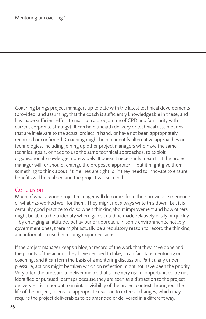Coaching brings project managers up to date with the latest technical developments (provided, and assuming, that the coach is sufficiently knowledgeable in these, and has made sufficient effort to maintain a programme of CPD and familiarity with current corporate strategy). It can help unearth delivery or technical assumptions that are irrelevant to the actual project in hand, or have not been appropriately recorded or confirmed. Coaching might help to identify alternative approaches or technologies, including joining up other project managers who have the same technical goals, or need to use the same technical approaches, to exploit organisational knowledge more widely. It doesn't necessarily mean that the project manager will, or should, change the proposed approach – but it might give them something to think about if timelines are tight, or if they need to innovate to ensure benefits will be realised and the project will succeed.

## Conclusion

Much of what a good project manager will do comes from their previous experience of what has worked well for them. They might not always write this down, but it is certainly good practice to do so when thinking about improvement and how others might be able to help identify where gains could be made relatively easily or quickly – by changing an attitude, behaviour or approach. In some environments, notably government ones, there might actually be a regulatory reason to record the thinking and information used in making major decisions.

If the project manager keeps a blog or record of the work that they have done and the priority of the actions they have decided to take, it can facilitate mentoring or coaching, and it can form the basis of a mentoring discussion. Particularly under pressure, actions might be taken which on reflection might not have been the priority. Very often the pressure to deliver means that some very useful opportunities are not identified or pursued, perhaps because they are seen as a distraction to the project delivery – it is important to maintain visibility of the project context throughout the life of the project, to ensure appropriate reaction to external changes, which may require the project deliverables to be amended or delivered in a different way.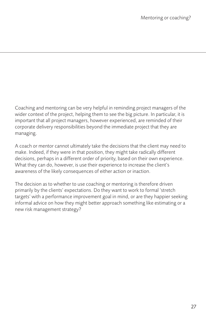Coaching and mentoring can be very helpful in reminding project managers of the wider context of the project, helping them to see the big picture. In particular, it is important that all project managers, however experienced, are reminded of their corporate delivery responsibilities beyond the immediate project that they are managing.

A coach or mentor cannot ultimately take the decisions that the client may need to make. Indeed, if they were in that position, they might take radically different decisions, perhaps in a different order of priority, based on their own experience. What they can do, however, is use their experience to increase the client's awareness of the likely consequences of either action or inaction.

The decision as to whether to use coaching or mentoring is therefore driven primarily by the clients' expectations. Do they want to work to formal 'stretch targets' with a performance improvement goal in mind, or are they happier seeking informal advice on how they might better approach something like estimating or a new risk management strategy?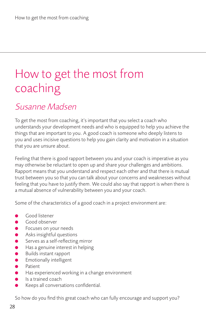# <span id="page-28-0"></span>How to get the most from coaching

## Susanne Madsen

To get the most from coaching, it's important that you select a coach who understands your development needs and who is equipped to help you achieve the things that are important to you. A good coach is someone who deeply listens to you and uses incisive questions to help you gain clarity and motivation in a situation that you are unsure about.

Feeling that there is good rapport between you and your coach is imperative as you may otherwise be reluctant to open up and share your challenges and ambitions. Rapport means that you understand and respect each other and that there is mutual trust between you so that you can talk about your concerns and weaknesses without feeling that you have to justify them. We could also say that rapport is when there is a mutual absence of vulnerability between you and your coach.

Some of the characteristics of a good coach in a project environment are:

- Good listener
- Good observer
- Focuses on your needs
- Asks insightful questions
- Serves as a self-reflecting mirror
- Has a genuine interest in helping
- l Builds instant rapport
- **Emotionally intelligent**
- Patient
- Has experienced working in a change environment
- l Is a trained coach
- Keeps all conversations confidential.

So how do you find this great coach who can fully encourage and support you?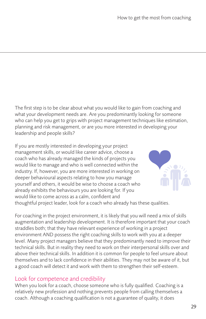The first step is to be clear about what you would like to gain from coaching and what your development needs are. Are you predominantly looking for someone who can help you get to grips with project management techniques like estimation, planning and risk management, or are you more interested in developing your leadership and people skills?

If you are mostly interested in developing your project management skills, or would like career advice, choose a coach who has already managed the kinds of projects you would like to manage and who is well connected within the industry. If, however, you are more interested in working on deeper behavioural aspects relating to how you manage yourself and others, it would be wise to choose a coach who already exhibits the behaviours you are looking for. If you would like to come across as a calm, confident and



thoughtful project leader, look for a coach who already has these qualities.

For coaching in the project environment, it is likely that you will need a mix of skills augmentation and leadership development. It is therefore important that your coach straddles both; that they have relevant experience of working in a project environment AND possess the right coaching skills to work with you at a deeper level. Many project managers believe that they predominantly need to improve their technical skills. But in reality they need to work on their interpersonal skills over and above their technical skills. In addition it is common for people to feel unsure about themselves and to lack confidence in their abilities. They may not be aware of it, but a good coach will detect it and work with them to strengthen their self-esteem.

#### Look for competence and credibility

When you look for a coach, choose someone who is fully qualified. Coaching is a relatively new profession and nothing prevents people from calling themselves a coach. Although a coaching qualification is not a guarantee of quality, it does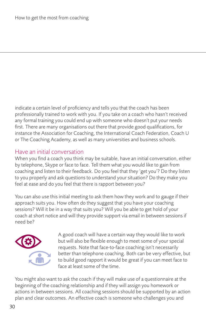indicate a certain level of proficiency and tells you that the coach has been professionally trained to work with you. If you take on a coach who hasn't received any formal training you could end up with someone who doesn't put your needs first. There are many organisations out there that provide good qualifications, for instance the Association for Coaching, the International Coach Federation, Coach U or The Coaching Academy, as well as many universities and business schools.

## Have an initial conversation

When you find a coach you think may be suitable, have an initial conversation, either by telephone, Skype or face to face. Tell them what you would like to gain from coaching and listen to their feedback. Do you feel that they 'get you'? Do they listen to you properly and ask questions to understand your situation? Do they make you feel at ease and do you feel that there is rapport between you?

You can also use this initial meeting to ask them how they work and to gauge if their approach suits you. How often do they suggest that you have your coaching sessions? Will it be in a way that suits you? Will you be able to get hold of your coach at short notice and will they provide support via email in between sessions if need be?



A good coach will have a certain way they would like to work but will also be flexible enough to meet some of your special requests. Note that face-to-face coaching isn't necessarily better than telephone coaching. Both can be very effective, but to build good rapport it would be great if you can meet face to face at least some of the time.

You might also want to ask the coach if they will make use of a questionnaire at the beginning of the coaching relationship and if they will assign you homework or actions in between sessions. All coaching sessions should be supported by an action plan and clear outcomes. An effective coach is someone who challenges you and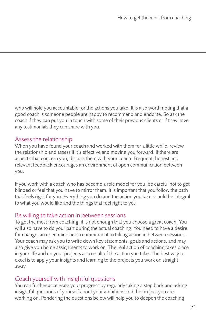who will hold you accountable for the actions you take. It is also worth noting that a good coach is someone people are happy to recommend and endorse. So ask the coach if they can put you in touch with some of their previous clients or if they have any testimonials they can share with you.

## Assess the relationship

When you have found your coach and worked with them for a little while, review the relationship and assess if it's effective and moving you forward. If there are aspects that concern you, discuss them with your coach. Frequent, honest and relevant feedback encourages an environment of open communication between you.

If you work with a coach who has become a role model for you, be careful not to get blinded or feel that you have to mirror them. It is important that you follow the path that feels right for you. Everything you do and the action you take should be integral to what you would like and the things that feel right to you.

### Be willing to take action in between sessions

To get the most from coaching, it is not enough that you choose a great coach. You will also have to do your part during the actual coaching. You need to have a desire for change, an open mind and a commitment to taking action in between sessions. Your coach may ask you to write down key statements, goals and actions, and may also give you home assignments to work on. The real action of coaching takes place in your life and on your projects as a result of the action you take. The best way to excel is to apply your insights and learning to the projects you work on straight away.

## Coach yourself with insightful questions

You can further accelerate your progress by regularly taking a step back and asking insightful questions of yourself about your ambitions and the project you are working on. Pondering the questions below will help you to deepen the coaching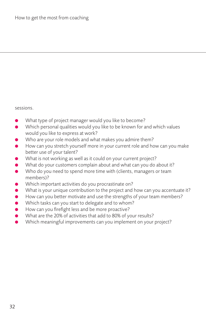sessions.

- What type of project manager would you like to become?
- Which personal qualities would you like to be known for and which values would you like to express at work?
- Who are your role models and what makes you admire them?
- How can you stretch yourself more in your current role and how can you make better use of your talent?
- What is not working as well as it could on your current project?
- What do your customers complain about and what can you do about it?
- Who do you need to spend more time with (clients, managers or team members)?
- Which important activities do you procrastinate on?
- What is your unique contribution to the project and how can you accentuate it?
- $\bullet$  How can you better motivate and use the strengths of your team members?
- Which tasks can you start to delegate and to whom?
- How can you firefight less and be more proactive?
- l What are the 20% of activities that add to 80% of your results?
- l Which meaningful improvements can you implement on your project?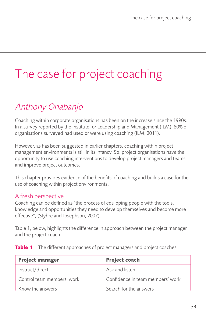# <span id="page-33-0"></span>The case for project coaching

# Anthony Onabanjo

Coaching within corporate organisations has been on the increase since the 1990s. In a survey reported by the Institute for Leadership and Management (ILM), 80% of organisations surveyed had used or were using coaching (ILM, 2011).

However, as has been suggested in earlier chapters, coaching within project management environments is still in its infancy. So, project organisations have the opportunity to use coaching interventions to develop project managers and teams and improve project outcomes.

This chapter provides evidence of the benefits of coaching and builds a case for the use of coaching within project environments.

## A fresh perspective

Coaching can be defined as "the process of equipping people with the tools, knowledge and opportunities they need to develop themselves and become more effective", (Styhre and Josephson, 2007).

Table 1, below, highlights the difference in approach between the project manager and the project coach.

|  | Table 1 The different approaches of project managers and project coaches |  |  |
|--|--------------------------------------------------------------------------|--|--|
|--|--------------------------------------------------------------------------|--|--|

| <b>Project manager</b>     | Project coach                    |
|----------------------------|----------------------------------|
| Instruct/direct            | Ask and listen                   |
| Control team members' work | Confidence in team members' work |
| Know the answers           | Search for the answers           |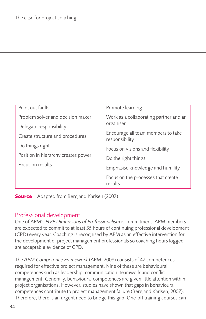| Point out faults                    | Promote learning                                     |  |
|-------------------------------------|------------------------------------------------------|--|
| Problem solver and decision maker   | Work as a collaborating partner and an<br>organiser  |  |
| Delegate responsibility             |                                                      |  |
| Create structure and procedures     | Encourage all team members to take<br>responsibility |  |
| Do things right                     | Focus on visions and flexibility                     |  |
| Position in hierarchy creates power | Do the right things                                  |  |
| Focus on results                    | Emphasise knowledge and humility                     |  |
|                                     | Focus on the processes that create<br>results        |  |

**Source** Adapted from Berg and Karlsen (2007)

### Professional development

One of APM's *FIVE Dimensions of Professionalism* is commitment. APM members are expected to commit to at least 35 hours of continuing professional development (CPD) every year. Coaching is recognised by APM as an effective intervention for the development of project management professionals so coaching hours logged are acceptable evidence of CPD.

The *APM Competence Framework* (APM, 2008) consists of 47 competences required for effective project management. Nine of these are behavioural competences such as leadership, communication, teamwork and conflict management. Generally, behavioural competences are given little attention within project organisations. However, studies have shown that gaps in behavioural competences contribute to project management failure (Berg and Karlsen, 2007). Therefore, there is an urgent need to bridge this gap. One-off training courses can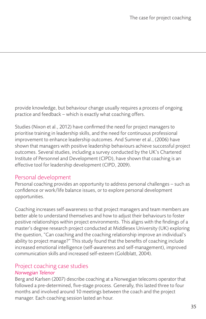provide knowledge, but behaviour change usually requires a process of ongoing practice and feedback – which is exactly what coaching offers.

Studies (Nixon et al., 2012) have confirmed the need for project managers to prioritise training in leadership skills, and the need for continuous professional improvement to enhance leadership outcomes. And Sumner et al., (2006) have shown that managers with positive leadership behaviours achieve successful project outcomes. Several studies, including a survey conducted by the UK's Chartered Institute of Personnel and Development (CIPD), have shown that coaching is an effective tool for leadership development (CIPD, 2009).

### Personal development

Personal coaching provides an opportunity to address personal challenges – such as confidence or work/life balance issues, or to explore personal development opportunities.

Coaching increases self-awareness so that project managers and team members are better able to understand themselves and how to adjust their behaviours to foster positive relationships within project environments. This aligns with the findings of a master's degree research project conducted at Middlesex University (UK) exploring the question, "Can coaching and the coaching relationship improve an individual's ability to project manage?" This study found that the benefits of coaching include increased emotional intelligence (self-awareness and self-management), improved communication skills and increased self-esteem (Goldblatt, 2004).

# Project coaching case studies

## *Norwegian Telenor*

Berg and Karlsen (2007) describe coaching at a Norwegian telecoms operator that followed a pre-determined, five-stage process. Generally, this lasted three to four months and involved around 10 meetings between the coach and the project manager. Each coaching session lasted an hour.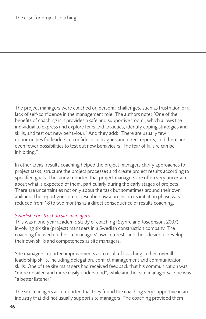The project managers were coached on personal challenges, such as frustration or a lack of self-confidence in the management role. The authors note: "One of the benefits of coaching is it provides a safe and supportive 'room', which allows the individual to express and explore fears and anxieties, identify coping strategies and skills, and test out new behaviour." And they add: "There are usually few opportunities for leaders to confide in colleagues and direct reports, and there are even fewer possibilities to test out new behaviours. The fear of failure can be inhibiting."

In other areas, results coaching helped the project managers clarify approaches to project tasks, structure the project processes and create project results according to specified goals. The study reported that project managers are often very uncertain about what is expected of them, particularly during the early stages of projects. There are uncertainties not only about the task but sometimes around their own abilities. The report goes on to describe how a project in its initiation phase was reduced from 18 to two months as a direct consequence of results coaching.

#### *Swedish construction site managers*

This was a one-year academic study of coaching (Styhre and Josephson, 2007) involving six site (project) managers in a Swedish construction company. The coaching focused on the site managers' own interests and their desire to develop their own skills and competences as site managers.

Site managers reported improvements as a result of coaching in their overall leadership skills, including delegation, conflict management and communication skills. One of the site managers had received feedback that his communication was "more detailed and more easily understood", while another site manager said he was "a better listener".

The site managers also reported that they found the coaching very supportive in an industry that did not usually support site managers. The coaching provided them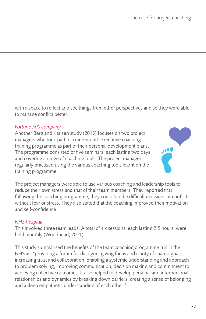with a space to reflect and see things from other perspectives and so they were able to manage conflict better.

#### *Fortune 500 company*

Another Berg and Karlsen study (2013) focuses on two project managers who took part in a nine-month executive coaching training programme as part of their personal development plans. The programme consisted of five seminars, each lasting two days and covering a range of coaching tools. The project managers regularly practised using the various coaching tools learnt on the training programme.



The project managers were able to use various coaching and leadership tools to reduce their own stress and that of their team members. They reported that, following the coaching programme, they could handle difficult decisions or conflicts without fear or stress. They also stated that the coaching improved their motivation and self-confidence.

#### *NHS hospital*

This involved three team leads. A total of six sessions, each lasting 2.5 hours, were held monthly (Woodhead, 2011).

This study summarised the benefits of the team coaching programme run in the NHS as: "providing a forum for dialogue, giving focus and clarity of shared goals, increasing trust and collaboration, enabling a systemic understanding and approach to problem solving, improving communication, decision making and commitment to achieving collective outcomes. It also helped to develop personal and interpersonal relationships and dynamics by breaking down barriers, creating a sense of belonging and a deep empathetic understanding of each other."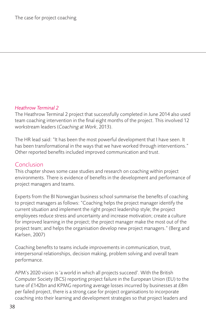#### *Heathrow Terminal 2*

The Heathrow Terminal 2 project that successfully completed in June 2014 also used team coaching intervention in the final eight months of the project. This involved 12 workstream leaders (*Coaching at Work*, 2013).

The HR lead said: "It has been the most powerful development that I have seen. It has been transformational in the ways that we have worked through interventions." Other reported benefits included improved communication and trust.

### Conclusion

This chapter shows some case studies and research on coaching within project environments. There is evidence of benefits in the development and performance of project managers and teams.

Experts from the BI Norwegian business school summarise the benefits of coaching to project managers as follows: "Coaching helps the project manager identify the current situation and implement the right project leadership style; the project employees reduce stress and uncertainty and increase motivation; create a culture for improved learning in the project; the project manager make the most out of the project team; and helps the organisation develop new project managers." (Berg and Karlsen, 2007)

Coaching benefits to teams include improvements in communication, trust, interpersonal relationships, decision making, problem solving and overall team performance.

APM's 2020 vision is 'a world in which all projects succeed'. With the British Computer Society (BCS) reporting project failure in the European Union (EU) to the tune of £142bn and KPMG reporting average losses incurred by businesses at £8m per failed project, there is a strong case for project organisations to incorporate coaching into their learning and development strategies so that project leaders and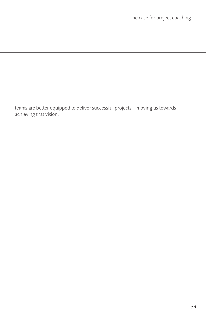teams are better equipped to deliver successful projects – moving us towards achieving that vision.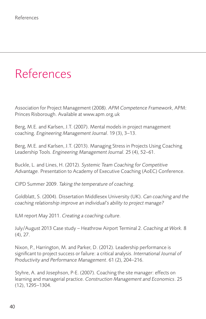# <span id="page-40-0"></span>References

Association for Project Management (2008). *APM Competence Framework*, APM: Princes Risborough. Available at www.apm.org.uk

Berg, M.E. and Karlsen, J.T. (2007). Mental models in project management coaching. *Engineering Management Journal*. 19 (3), 3–13.

Berg, M.E. and Karlsen, J.T. (2013). Managing Stress in Projects Using Coaching Leadership Tools. *Engineering Management Journal.* 25 (4), 52–61.

Buckle, L. and Lines, H. (2012). *Systemic Team Coaching for Competitive Advantage.* Presentation to Academy of Executive Coaching (AoEC) Conference.

CIPD Summer 2009. *Taking the temperature of coaching.*

Goldblatt, S. (2004). Dissertation Middlesex University (UK). *Can coaching and the coaching relationship improve an individual's ability to project manage?*

ILM report May 2011. *Creating a coaching culture.*

July/August 2013 Case study – Heathrow Airport Terminal 2. *Coaching at Work.* 8 (4), 27.

Nixon, P., Harrington, M. and Parker, D. (2012). Leadership performance is significant to project success or failure: a critical analysis. *International Journal of Productivity and Performance Management*. 61 (2), 204–216.

Styhre, A. and Josephson, P-E. (2007). Coaching the site manager: effects on learning and managerial practice. *Construction Management and Economics*. 25 (12), 1295–1304.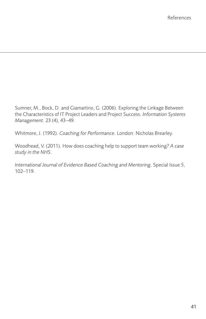Sumner, M., Bock, D. and Giamartino, G. (2006). Exploring the Linkage Between the Characteristics of IT Project Leaders and Project Success. *Information Systems Management.* 23 (4), 43–49.

Whitmore, J. (1992). *Coaching for Performance*. London: Nicholas Brearley.

Woodhead, V. (2011). How does coaching help to support team working? *A case study in the NHS.*

*International Journal of Evidence Based Coaching and Mentoring*. Special Issue 5, 102–119.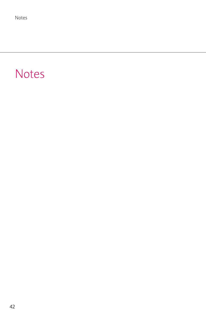# <span id="page-42-0"></span>Notes